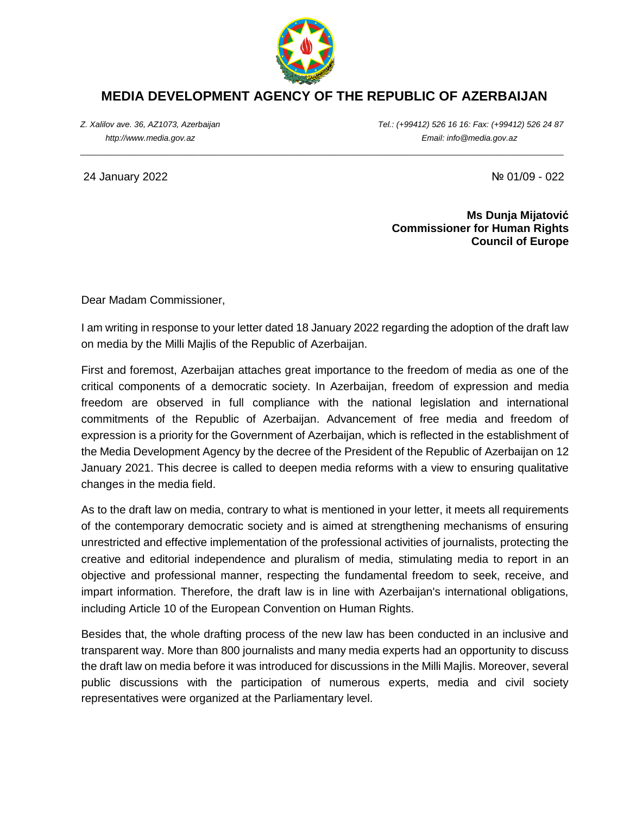

## **MEDIA DEVELOPMENT AGENCY OF THE REPUBLIC OF AZERBAIJAN**

**\_\_\_\_\_\_\_\_\_\_\_\_\_\_\_\_\_\_\_\_\_\_\_\_\_\_\_\_\_\_\_\_\_\_\_\_\_\_\_\_\_\_\_\_\_\_\_\_\_\_\_\_\_\_\_\_\_\_\_\_\_\_\_\_\_**

*Z. Xalilov ave. 36, AZ1073, Azerbaijan Tel.: (+99412) 526 16 16: Fax: (+99412) 526 24 87 http://www.media.gov.az Email: info@media.gov.az*

24 January 2022 № 01/09 - 022

**Ms Dunja Mijatović Commissioner for Human Rights Council of Europe**

Dear Madam Commissioner,

I am writing in response to your letter dated 18 January 2022 regarding the adoption of the draft law on media by the Milli Majlis of the Republic of Azerbaijan.

First and foremost, Azerbaijan attaches great importance to the freedom of media as one of the critical components of a democratic society. In Azerbaijan, freedom of expression and media freedom are observed in full compliance with the national legislation and international commitments of the Republic of Azerbaijan. Advancement of free media and freedom of expression is a priority for the Government of Azerbaijan, which is reflected in the establishment of the Media Development Agency by the decree of the President of the Republic of Azerbaijan on 12 January 2021. This decree is called to deepen media reforms with a view to ensuring qualitative changes in the media field.

As to the draft law on media, contrary to what is mentioned in your letter, it meets all requirements of the contemporary democratic society and is aimed at strengthening mechanisms of ensuring unrestricted and effective implementation of the professional activities of journalists, protecting the creative and editorial independence and pluralism of media, stimulating media to report in an objective and professional manner, respecting the fundamental freedom to seek, receive, and impart information. Therefore, the draft law is in line with Azerbaijan's international obligations, including Article 10 of the European Convention on Human Rights.

Besides that, the whole drafting process of the new law has been conducted in an inclusive and transparent way. More than 800 journalists and many media experts had an opportunity to discuss the draft law on media before it was introduced for discussions in the Milli Majlis. Moreover, several public discussions with the participation of numerous experts, media and civil society representatives were organized at the Parliamentary level.